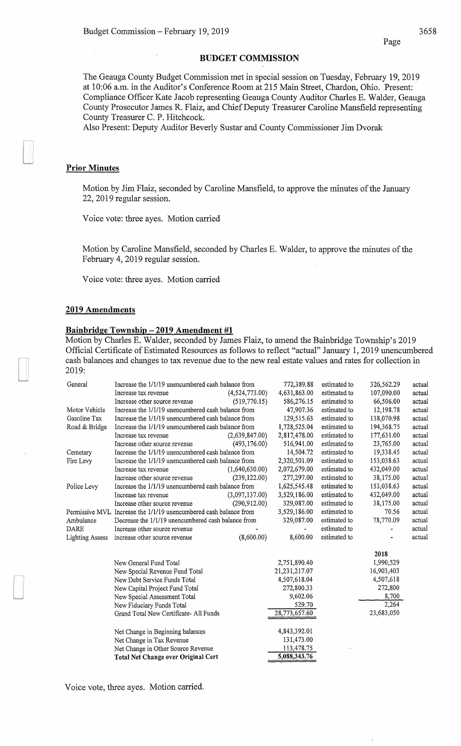#### BUDGET COMMISSION

The Geauga County Budget Commission met in special session on Tuesday, February 19, 2019 at 10:06 a.m. in the Auditor's Conference Room at 215 Main Street, Chardon, Ohio. Present: Compliance Officer Kate Jacob representing Geauga County Auditor Charles E. Walder, Geauga County Prosecutor James R. Flaiz, and Chief Deputy Treasurer Caroline Mansfield representing County Treasurer C. P. Hitchcock.

Also Present: Deputy Auditor Beverly Sustar and County Commissioner Jim Dvorak

### Prior Minutes

Motion by Jim Flaiz, seconded by Caroline Mansfield, to approve the minutes of the January 22, 2019 regular session.

Voice vote: three ayes. Motion carried

Motion by Caroline Mansfield, seconded by Charles E. Walder, to approve the minutes of the February 4, 2019 regular session.

Voice vote: three ayes. Motion carried

#### 2019 Amendments

## Bainbridge Township - 2019 Amendment #1

Motion by Charles E. Walder, seconded by James Flaiz, to amend the Bainbridge Township's 2019 Official Certificate of Estimated Resources as follows to reflect "actual" January 1, 2019 unencumbered cash balances and changes to tax revenue due to the new real estate values and rates for collection in 2019:

| General                | Increase the 1/1/19 unencumbered cash balance from                |                | 772,389.88      | estimated to | 326,562.29 | actual |
|------------------------|-------------------------------------------------------------------|----------------|-----------------|--------------|------------|--------|
|                        | Increase tax revenue                                              | (4,524,773.00) | 4,631,863.00    | estimated to | 107,090.00 | actual |
|                        | Increase other source revenue                                     | (519,770.15)   | 586,276.15      | estimated to | 66,506.00  | actual |
| Motor Vehicle          | Increase the 1/1/19 unencumbered cash balance from                |                | 47,907.36       | estimated to | 12,198.78  | actual |
| Gasoline Tax           | Increase the 1/1/19 unencumbered cash balance from                |                | 129,515.63      | estimated to | 138,070.98 | actual |
| Road & Bridge          | Increase the 1/1/19 unencumbered cash balance from                |                | 1,728,525.04    | estimated to | 194,368.75 | actual |
|                        | Increase tax revenue                                              | (2,639,847.00) | 2,817,478.00    | estimated to | 177,631.00 | actual |
|                        | Increase other source revenue                                     | (493, 176.00)  | 516,941.00      | estimated to | 23,765.00  | actual |
| Cemetary               | Increase the 1/1/19 unencumbered cash balance from                |                | 14,504.72       | estimated to | 19,338.45  | actual |
| Fire Levy              | Increase the 1/1/19 unencumbered cash balance from                |                | 2,320,501.09    | estimated to | 153,038.63 | actual |
|                        | Increase tax revenue                                              | (1,640,630.00) | 2,072,679.00    | estimated to | 432,049.00 | actual |
|                        | Increase other source revenue                                     | (239, 122.00)  | 277,297.00      | estimated to | 38,175.00  | actual |
| Police Levy            | Increase the 1/1/19 unencumbered cash balance from                |                | $-1,625,545.48$ | estimated to | 153,038.63 | actual |
|                        | Increase tax revenue                                              | (3,097,137.00) | 3,529,186.00    | estimated to | 432,049.00 | actual |
|                        | Increase other source revenue                                     | (290, 912.00)  | 329,087.00      | estimated to | 38,175.00  | actual |
|                        | Permissive MVL Increase the 1/1/19 unencumbered cash balance from |                | 3,529,186.00    | estimated to | 70.56      | actual |
| Ambulance              | Decrease the 1/1/19 unencumbered cash balance from                |                | 329,087.00      | estimated to | 78,770.09  | actual |
| <b>DARE</b>            | Increase other source revenue                                     |                |                 | estimated to |            | actual |
| <b>Lighting Assess</b> | increase other source revenue                                     | (8,600.00)     | 8,600.00        | estimated to |            | actual |
|                        |                                                                   |                |                 |              | 2018       |        |
|                        | New General Fund Total                                            |                | 2,751,890.40    |              | 1,990,529  |        |
|                        | New Special Revenue Fund Total                                    |                | 21,231,217.07   |              | 16,903,403 |        |
|                        | New Debt Service Funds Total                                      |                | 4,507,618.04    |              | 4,507,618  |        |
|                        | New Capital Project Fund Total                                    |                | 272,800.33      |              | 272,800    |        |
|                        | New Special Assessment Total                                      |                | 9,602.06        |              | 8,700      |        |
|                        | New Fiduciary Funds Total                                         |                | 529.70          |              | 2,264      |        |
|                        | Grand Total New Certificate- All Funds                            |                | 28,773,657.60   |              | 23,683,050 |        |
|                        | Net Change in Beginning balances                                  |                | 4,843,392.01    |              |            |        |
|                        | Net Change in Tax Revenue                                         |                | 131,473.00      |              |            |        |
|                        | Net Change in Other Source Revenue                                |                | 113,478.75      |              |            |        |
|                        | <b>Total Net Change over Original Cert</b>                        |                | 5,088,343.76    |              |            |        |
|                        |                                                                   |                |                 |              |            |        |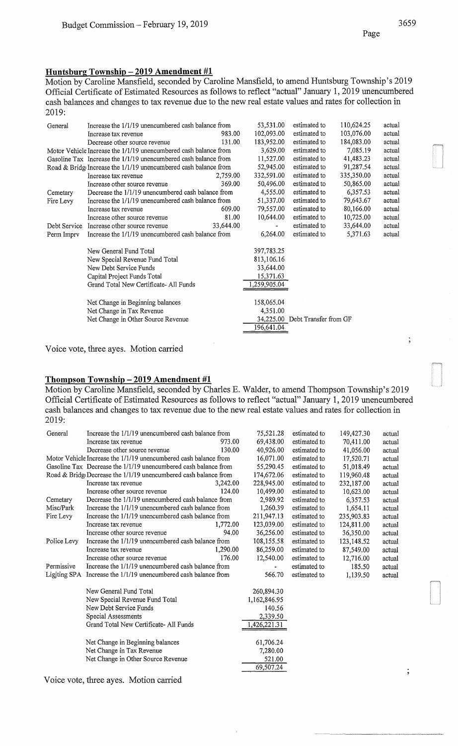## **Huntsburg Township- 2019 Amendment #1**

Motion by Caroline Mansfield, seconded by Caroline Mansfield, to amend Huntsburg Township's 2019 Official Certificate of Estimated Resources as follows to reflect "actual" January 1, 2019 unencumbered cash balances and changes to tax revenue due to the new real estate values and rates for collection in 2019:

| General      | Increase the 1/1/19 unencumbered cash balance from               |           | 53,531.00   | estimated to                    | 110,624.25 | actual |
|--------------|------------------------------------------------------------------|-----------|-------------|---------------------------------|------------|--------|
|              | Increase tax revenue                                             | 983.00    | 102,093.00  | estimated to                    | 103,076.00 | actual |
|              | Decrease other source revenue                                    | 131.00    | 183,952.00  | estimated to                    | 184,083.00 | actual |
|              | Motor Vehicle Increase the 1/1/19 unencumbered cash balance from |           | 3,629.00    | estimated to                    | 7,085.19   | actual |
|              | Gasoline Tax Increase the 1/1/19 unencumbered cash balance from  |           | 11,527.00   | estimated to                    | 41,483.23  | actual |
|              | Road & Bridg Increase the 1/1/19 unencumbered cash balance from  |           | 52,945.00   | estimated to                    | 91,287.54  | actual |
|              | Increase tax revenue                                             | 2,759.00  | 332,591.00  | estimated to                    | 335,350.00 | actual |
|              | Increase other source revenue                                    | 369.00    | 50,496.00   | estimated to                    | 50,865.00  | actual |
| Cemetary     | Decrease the 1/1/19 unencumbered cash balance from               |           | 4,555.00    | estimated to                    | 6,357.53   | actual |
| Fire Levy    | Increase the 1/1/19 unencumbered cash balance from               |           | 51,337.00   | estimated to                    | 79,643.67  | actual |
|              | Increase tax revenue                                             | 609.00    | 79,557.00   | estimated to                    | 80,166.00  | actual |
|              | Increase other source revenue                                    | 81.00     | 10,644.00   | estimated to                    | 10,725.00  | actual |
| Debt Service | Increase other source revenue                                    | 33,644.00 |             | estimated to                    | 33,644.00  | actual |
| Perm Imprv   | Increase the 1/1/19 unencumbered cash balance from               |           | 6,264.00    | estimated to                    | 5,371.63   | actual |
|              | New General Fund Total                                           |           | 397,783.25  |                                 |            |        |
|              | New Special Revenue Fund Total                                   |           | 813,106.16  |                                 |            |        |
|              | New Debt Service Funds                                           |           | 33,644.00   |                                 |            |        |
|              | Capital Project Funds Total                                      |           | 15,371.63   |                                 |            |        |
|              | Grand Total New Certificate- All Funds                           |           | ,259,905.04 |                                 |            |        |
|              | Net Change in Beginning balances                                 |           | 158,065.04  |                                 |            |        |
|              | Net Change in Tax Revenue                                        |           | 4,351.00    |                                 |            |        |
|              | Net Change in Other Source Revenue                               |           |             | 34,225.00 Debt Transfer from GF |            |        |
|              |                                                                  |           | 196,641.04  |                                 |            |        |
|              |                                                                  |           |             |                                 |            |        |

Voice vote, three ayes. Motion carried

# **Thompson Township- 2019 Amendment #1**

Motion by Caroline Mansfield, seconded by Charles E. Walder, to amend Thompson Township's 2019 Official Certificate of Estimated Resources as follows to reflect "actual" January 1, 2019 unencumbered cash balances and changes to tax revenue due to the new real estate values and rates for collection in 2019:

| General      | Increase the 1/1/19 unencumbered cash balance from               |          | 75,521.28    | estimated to | 149,427.30 | actual |
|--------------|------------------------------------------------------------------|----------|--------------|--------------|------------|--------|
|              | Increase tax revenue                                             | 973.00   | 69,438.00    | estimated to | 70,411.00  | actual |
|              | Decrease other source revenue                                    | 130.00   | 40,926.00    | estimated to | 41,056.00  | actual |
|              | Motor Vehicle Increase the 1/1/19 unencumbered cash balance from |          | 16,071.00    | estimated to | 17,520.71  | actual |
|              | Gasoline Tax Decrease the 1/1/19 unencumbered cash balance from  |          | 55,290.45    | estimated to | 51,018.49  | actual |
|              | Road & Bridg Decrease the 1/1/19 unencumbered cash balance from  |          | 174,672.06   | estimated to | 119,960.48 | actual |
|              | Increase tax revenue                                             | 3,242.00 | 228,945.00   | estimated to | 232,187.00 | actual |
|              | Increase other source revenue                                    | 124.00   | 10,499.00    | estimated to | 10,623.00  | actual |
| Cemetary     | Decrease the 1/1/19 unencumbered cash balance from               |          | 2,989.92     | estimated to | 6.357.53   | actual |
| Misc/Park    | Increase the 1/1/19 unencumbered cash balance from               |          | 1,260.39     | estimated to | 1,654.11   | actual |
| Fire Levy    | Increase the 1/1/19 unencumbered cash balance from               |          | 211,947.13   | estimated to | 235,903.83 | actual |
|              | Increase tax revenue                                             | 1,772.00 | 123,039.00   | estimated to | 124,811.00 | actual |
|              | Increase other source revenue                                    | 94.00    | 36,256.00    | estimated to | 36,350.00  | actual |
| Police Levy  | Increase the 1/1/19 unencumbered cash balance from               |          | 108,155.58   | estimated to | 123,148.52 | actual |
|              | Increase tax revenue                                             | 1,290.00 | 86,259.00    | estimated to | 87,549.00  | actual |
|              | Increase other source revenue                                    | 176.00   | 12,540.00    | estimated to | 12,716.00  | actual |
| Permissive   | Increase the 1/1/19 unencumbered cash balance from               |          |              | estimated to | 185.50     | actual |
| Ligiting SPA | Increase the 1/1/19 unencumbered cash balance from               |          | 566.70       | estimated to | 1,139.50   | actual |
|              | New General Fund Total                                           |          | 260,894.30   |              |            |        |
|              | New Special Revenue Fund Total                                   |          | 1,162,846.95 |              |            |        |
|              | New Debt Service Funds                                           |          | 140.56       |              |            |        |
|              | Special Assessments                                              |          | 2,339.50     |              |            |        |
|              | Grand Total New Certificate-All Funds                            |          | 1,426,221.31 |              |            |        |
|              | Net Change in Beginning balances                                 |          | 61,706.24    |              |            |        |
|              | Net Change in Tax Revenue                                        |          | 7,280.00     |              |            |        |
|              | Net Change in Other Source Revenue                               |          | 521.00       |              |            |        |
|              |                                                                  |          | 69,507.24    |              |            |        |
|              |                                                                  |          |              |              |            |        |

Voice vote, three ayes. Motion carried

 $\cdot$ ,

 $\vdots$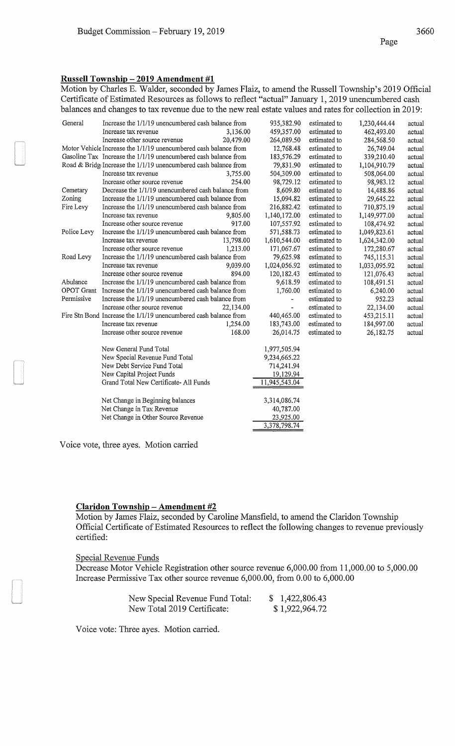# **Russell Township- 2019 Amendment #1**

Motion by Charles E. Walder, seconded by James Flaiz, to amend the Russell Township's 2019 Official Certificate of Estimated Resources as follows to reflect "actual" January 1, 2019 unencumbered cash balances and changes to tax revenue due to the new real estate values and rates for collection in 2019:

| General     | Increase the 1/1/19 unencumbered cash balance from               | 935,382.90    | estimated to | 1,230,444.44 | actual |
|-------------|------------------------------------------------------------------|---------------|--------------|--------------|--------|
|             | Increase tax revenue<br>3,136.00                                 | 459,357.00    | estimated to | 462,493.00   | actual |
|             | Increase other source revenue<br>20,479.00                       | 264,089.50    | estimated to | 284,568.50   | actual |
|             | Motor Vehicle Increase the 1/1/19 unencumbered cash balance from | 12,768.48     | estimated to | 26,749.04    | actual |
|             | Gasoline Tax Increase the 1/1/19 unencumbered cash balance from  | 183,576.29    | estimated to | 339,210.40   | actual |
|             | Road & Bridge Increase the 1/1/19 unencumbered cash balance from | 79,831.90     | estimated to | 1,104,910.79 | actual |
|             | Increase tax revenue<br>3,755.00                                 | 504,309.00    | estimated to | 508,064.00   | actual |
|             | 254.00<br>Increase other source revenue                          | 98,729.12     | estimated to | 98,983.12    | actual |
| Cemetary    | Decrease the 1/1/19 unencumbered cash balance from               | 8,609.80      | estimated to | 14,488.86    | actual |
| Zoning      | Increase the 1/1/19 unencumbered cash balance from               | 15,094.82     | estimated to | 29,645.22    | actual |
| Fire Levy   | Increase the 1/1/19 unencumbered cash balance from               | 216,882.42    | estimated to | 710,875.19   | actual |
|             | Increase tax revenue<br>9,805.00                                 | 1,140,172.00  | estimated to | 1,149,977.00 | actual |
|             | 917.00<br>Increase other source revenue                          | 107,557.92    | estimated to | 108,474.92   | actual |
| Police Levy | Increase the 1/1/19 unencumbered cash balance from               | 571,588.73    | estimated to | 1,049,823.61 | actual |
|             | Increase tax revenue<br>13,798.00                                | 1,610,544.00  | estimated to | 1,624,342.00 | actual |
|             | Increase other source revenue<br>1,213.00                        | 171,067.67    | estimated to | 172,280.67   | actual |
| Road Levy   | Increase the 1/1/19 unencumbered cash balance from               | 79,625.98     | estimated to | 745,115.31   | actual |
|             | Increase tax revenue<br>9,039.00                                 | 1,024,056.92  | estimated to | 1,033,095.92 | actual |
|             | 894.00<br>Increase other source revenue                          | 120,182.43    | estimated to | 121,076.43   | actual |
| Abulance    | Increase the 1/1/19 unencumbered cash balance from               | 9,618.59      | estimated to | 108,491.51   | actual |
| OPOT Grant  | Increase the 1/1/19 unencumbered cash balance from               | 1,760.00      | estimated to | 6,240.00     | actual |
| Permissive  | Increase the 1/1/19 unencumbered cash balance from               |               | estimated to | 952.23       | actual |
|             | Increase other source revenue<br>22,134.00                       |               | estimated to | 22,134.00    | actual |
|             | Fire Stn Bond Increase the 1/1/19 unencumbered cash balance from | 440,465.00    | estimated to | 453,215.11   | actual |
|             | 1,254.00<br>Increase tax revenue                                 | 183,743.00    | estimated to | 184,997.00   | actual |
|             | Increase other source revenue<br>168.00                          | 26,014.75     | estimated to | 26,182.75    | actual |
|             | New General Fund Total                                           | 1,977,505.94  |              |              |        |
|             | New Special Revenue Fund Total                                   | 9,234,665.22  |              |              |        |
|             | New Debt Service Fund Total                                      | 714,241.94    |              |              |        |
|             | New Capital Project Funds                                        | 19,129.94     |              |              |        |
|             | Grand Total New Certificate-All Funds                            | 11,945,543.04 |              |              |        |
|             | Net Change in Beginning balances                                 | 3,314,086.74  |              |              |        |
|             | Net Change in Tax Revenue                                        | 40,787.00     |              |              |        |
|             | Net Change in Other Source Revenue                               | 23,925.00     |              |              |        |
|             |                                                                  | 3,378,798.74  |              |              |        |

Voice vote, three ayes. Motion carried

#### **Claridon Township- Amendment #2**

Motion by James Flaiz, seconded by Caroline Mansfield, to amend the Claridon Township Official Certificate of Estimated Resources to reflect the following changes to revenue previously certified:

#### Special Revenue Funds

Decrease Motor Vehicle Registration other source revenue 6,000.00 from 11,000.00 to 5,000.00 Increase Permissive Tax other source revenue 6,000.00, from 0.00 to 6,000.00

| New Special Revenue Fund Total: | \$1,422,806.43 |
|---------------------------------|----------------|
| New Total 2019 Certificate:     | \$1,922,964.72 |

Voice vote: Three ayes. Motion carried.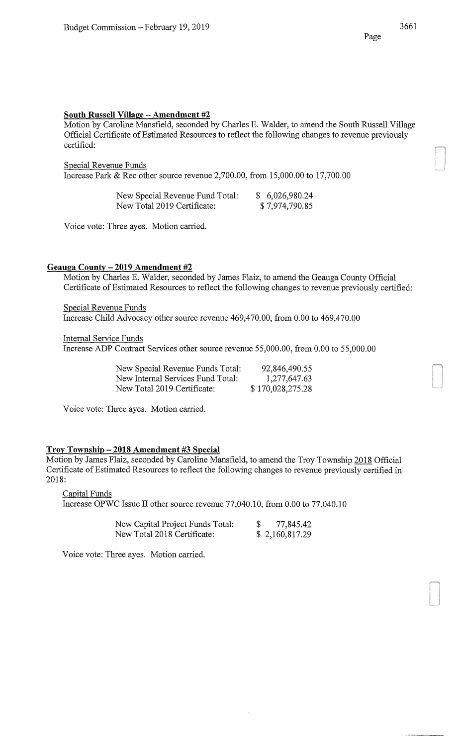## **South Russell Village - Amendment #2**

Motion by Caroline Mansfield, seconded by Charles E. Walder, to amend the South Russell Village Official Certificate of Estimated Resources to reflect the following changes to revenue previously certified:

Special Revenue Funds

Increase Park & Rec other source revenue 2,700.00, from 15,000.00 to 17,700.00

| New Special Revenue Fund Total: | \$6,026,980.24 |
|---------------------------------|----------------|
| New Total 2019 Certificate:     | \$7,974,790.85 |

Voice vote: Three ayes. Motion carried.

## **Geauga County- 2019 Amendment #2**

Motion by Charles E. Walder, seconded by James Flaiz, to amend the Geauga County Official Certificate of Estimated Resources to reflect the following changes to revenue previously certified:

Special Revenue Funds Increase Child Advocacy other source revenue 469,470.00, from 0.00 to 469,470.00

Internal Service Funds

Increase ADP Contract Services other source revenue 55,000.00, from 0.00 to 55,000.00

| New Special Revenue Funds Total:  | 92,846,490.55    |
|-----------------------------------|------------------|
| New Internal Services Fund Total: | 1,277,647.63     |
| New Total 2019 Certificate:       | \$170,028,275.28 |

Voice vote: Three ayes. Motion carried.

#### **Troy Township- 2018 Amendment #3 Special**

Motion by James Flaiz, seconded by Caroline Mansfield, to amend the Troy Township 2018 Official Certificate of Estimated Resources to reflect the following changes to revenue previously certified in 2018:

Capital Funds

Increase OPWC Issue II other source revenue 77,040.10, from 0.00 to 77,040.10

| New Capital Project Funds Total: | 77,845.42      |
|----------------------------------|----------------|
| New Total 2018 Certificate:      | \$2,160,817.29 |

Voice vote: Three ayes. Motion carried.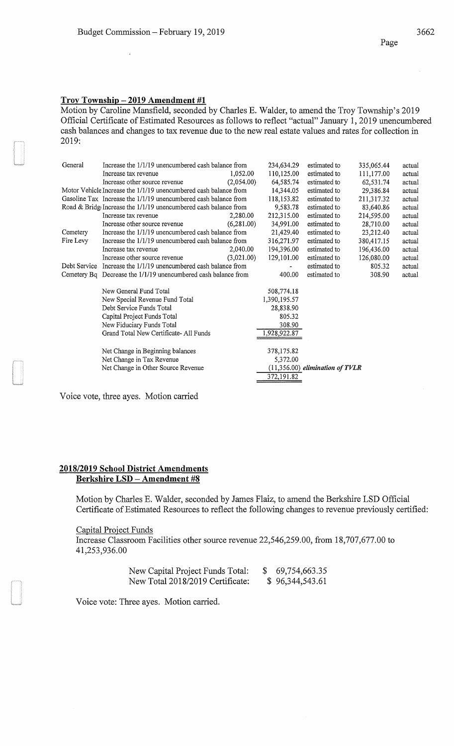## Troy **Township - 2019 Amendment #1**

Motion by Caroline Mansfield, seconded by Charles E. Walder, to amend the Troy Township's 2019 Official Certificate of Estimated Resources as follows to reflect "actual" January 1, 2019 unencumbered cash balances and changes to tax revenue due to the new real estate values and rates for collection in 2019:

| General      | Increase the 1/1/19 unencumbered cash balance from               |            | 234,634.29   | estimated to                      | 335,065.44 | actual |
|--------------|------------------------------------------------------------------|------------|--------------|-----------------------------------|------------|--------|
|              | Increase tax revenue                                             | 1.052.00   | 110,125.00   | estimated to                      | 111,177.00 | actual |
|              | Increase other source revenue                                    | (2,054,00) | 64,585.74    | estimated to                      | 62,531.74  | actual |
|              | Motor Vehicle Increase the 1/1/19 unencumbered cash balance from |            | 14,344.05    | estimated to                      | 29,386.84  | actual |
|              | Gasoline Tax Increase the 1/1/19 unencumbered cash balance from  |            | 118,153.82   | estimated to                      | 211,317.32 | actual |
|              | Road & Bridge Increase the 1/1/19 unencumbered cash balance from |            | 9,583.78     | estimated to                      | 83,640.86  | actual |
|              | Increase tax revenue                                             | 2,280.00   | 212,315.00   | estimated to                      | 214,595.00 | actual |
|              | Increase other source revenue                                    | (6,281.00) | 34,991.00    | estimated to                      | 28,710.00  | actual |
| Cemetery     | Increase the 1/1/19 unencumbered cash balance from               |            | 21,429.40    | estimated to                      | 23,212.40  | actual |
| Fire Levy    | Increase the 1/1/19 unencumbered cash balance from               |            | 316,271.97   | estimated to                      | 380,417.15 | actual |
|              | Increase tax revenue                                             | 2,040.00   | 194,396.00   | estimated to                      | 196,436.00 | actual |
|              | Increase other source revenue                                    | (3,021.00) | 129,101.00   | estimated to                      | 126,080.00 | actual |
| Debt Service | Increase the 1/1/19 unencumbered cash balance from               |            |              | estimated to                      | 805.32     | actual |
|              | Cemetery Bq Decrease the 1/1/19 unencumbered cash balance from   |            | 400.00       | estimated to                      | 308.90     | actual |
|              | New General Fund Total                                           |            | 508,774.18   |                                   |            |        |
|              | New Special Revenue Fund Total                                   |            | 1,390,195.57 |                                   |            |        |
|              | Debt Service Funds Total                                         |            | 28,838.90    |                                   |            |        |
|              | Capital Project Funds Total                                      |            | 805.32       |                                   |            |        |
|              | New Fiduciary Funds Total                                        |            | 308.90       |                                   |            |        |
|              | Grand Total New Certificate- All Funds                           |            | 1,928,922.87 |                                   |            |        |
|              | Net Change in Beginning balances                                 |            | 378,175.82   |                                   |            |        |
|              | Net Change in Tax Revenue                                        |            | 5,372.00     |                                   |            |        |
|              | Net Change in Other Source Revenue                               |            |              | $(11,356.00)$ elimination of TVLR |            |        |
|              |                                                                  |            | 372,191.82   |                                   |            |        |
|              |                                                                  |            |              |                                   |            |        |

Voice vote, three ayes. Motion carried

## **2018/2019 School District Amendments Berkshire LSD - Amendment #8**

Motion by Charles E. Walder, seconded by James Flaiz, to amend the Berkshire LSD Official Certificate of Estimated Resources to reflect the following changes to revenue previously certified:

#### Capital Project Funds

Increase Classroom Facilities other source revenue 22,546,259.00, from 18,707,677.00 to 41,253,936.00

| New Capital Project Funds Total: | 69,754,663.35   |
|----------------------------------|-----------------|
| New Total 2018/2019 Certificate: | \$96,344,543.61 |

Voice vote: Three ayes. Motion carried.